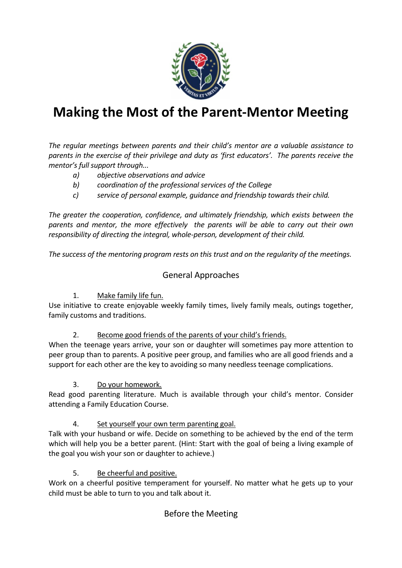

# **Making the Most of the Parent-Mentor Meeting**

*The regular meetings between parents and their child's mentor are a valuable assistance to parents in the exercise of their privilege and duty as 'first educators'. The parents receive the mentor's full support through...* 

- *a) objective observations and advice*
- *b) coordination of the professional services of the College*
- *c) service of personal example, guidance and friendship towards their child.*

*The greater the cooperation, confidence, and ultimately friendship, which exists between the parents and mentor, the more effectively the parents will be able to carry out their own responsibility of directing the integral, whole-person, development of their child.* 

*The success of the mentoring program rests on this trust and on the regularity of the meetings.* 

## General Approaches

#### 1. Make family life fun.

Use initiative to create enjoyable weekly family times, lively family meals, outings together, family customs and traditions.

2. Become good friends of the parents of your child's friends.

When the teenage years arrive, your son or daughter will sometimes pay more attention to peer group than to parents. A positive peer group, and families who are all good friends and a support for each other are the key to avoiding so many needless teenage complications.

3. Do your homework.

Read good parenting literature. Much is available through your child's mentor. Consider attending a Family Education Course.

#### 4. Set yourself your own term parenting goal.

Talk with your husband or wife. Decide on something to be achieved by the end of the term which will help you be a better parent. (Hint: Start with the goal of being a living example of the goal you wish your son or daughter to achieve.)

#### 5. Be cheerful and positive.

Work on a cheerful positive temperament for yourself. No matter what he gets up to your child must be able to turn to you and talk about it.

## Before the Meeting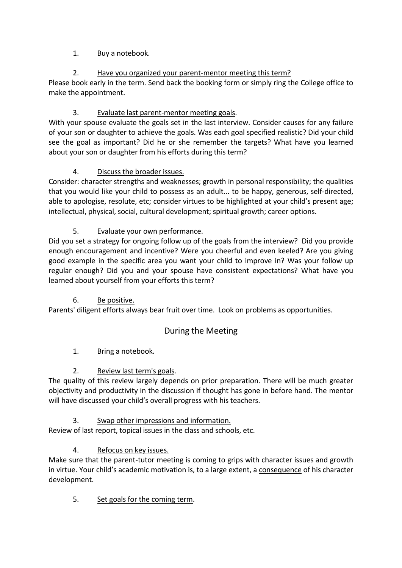#### 1. Buy a notebook.

## 2. Have you organized your parent-mentor meeting this term?

Please book early in the term. Send back the booking form or simply ring the College office to make the appointment.

## 3. Evaluate last parent-mentor meeting goals.

With your spouse evaluate the goals set in the last interview. Consider causes for any failure of your son or daughter to achieve the goals. Was each goal specified realistic? Did your child see the goal as important? Did he or she remember the targets? What have you learned about your son or daughter from his efforts during this term?

## 4. Discuss the broader issues.

Consider: character strengths and weaknesses; growth in personal responsibility; the qualities that you would like your child to possess as an adult... to be happy, generous, self-directed, able to apologise, resolute, etc; consider virtues to be highlighted at your child's present age; intellectual, physical, social, cultural development; spiritual growth; career options.

## 5. Evaluate your own performance.

Did you set a strategy for ongoing follow up of the goals from the interview? Did you provide enough encouragement and incentive? Were you cheerful and even keeled? Are you giving good example in the specific area you want your child to improve in? Was your follow up regular enough? Did you and your spouse have consistent expectations? What have you learned about yourself from your efforts this term?

## 6. Be positive.

Parents' diligent efforts always bear fruit over time. Look on problems as opportunities.

# During the Meeting

## 1. Bring a notebook.

## 2. Review last term's goals.

The quality of this review largely depends on prior preparation. There will be much greater objectivity and productivity in the discussion if thought has gone in before hand. The mentor will have discussed your child's overall progress with his teachers.

## 3. Swap other impressions and information.

Review of last report, topical issues in the class and schools, etc.

# 4. Refocus on key issues.

Make sure that the parent-tutor meeting is coming to grips with character issues and growth in virtue. Your child's academic motivation is, to a large extent, a consequence of his character development.

5. Set goals for the coming term.